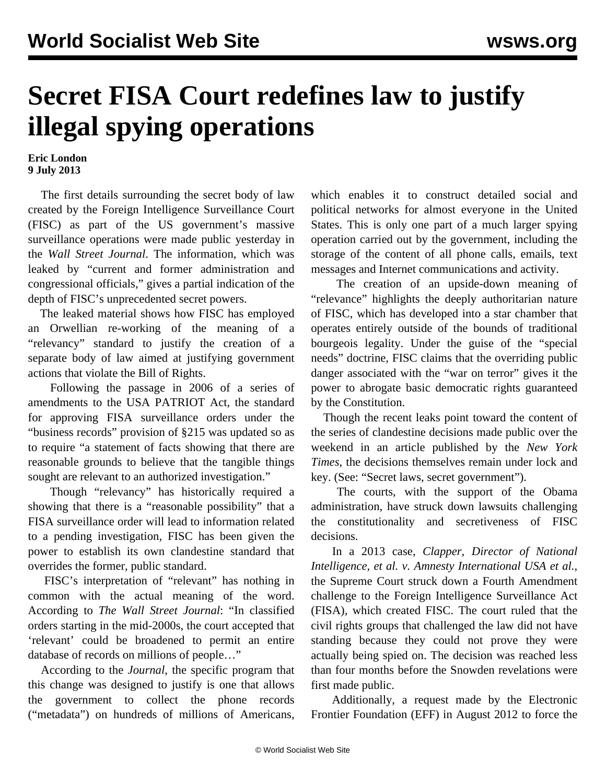## **Secret FISA Court redefines law to justify illegal spying operations**

## **Eric London 9 July 2013**

 The first details surrounding the secret body of law created by the Foreign Intelligence Surveillance Court (FISC) as part of the US government's massive surveillance operations were made public yesterday in the *Wall Street Journal*. The information, which was leaked by "current and former administration and congressional officials," gives a partial indication of the depth of FISC's unprecedented secret powers.

 The leaked material shows how FISC has employed an Orwellian re-working of the meaning of a "relevancy" standard to justify the creation of a separate body of law aimed at justifying government actions that violate the Bill of Rights.

 Following the passage in 2006 of a series of amendments to the USA PATRIOT Act, the standard for approving FISA surveillance orders under the "business records" provision of §215 was updated so as to require "a statement of facts showing that there are reasonable grounds to believe that the tangible things sought are relevant to an authorized investigation."

 Though "relevancy" has historically required a showing that there is a "reasonable possibility" that a FISA surveillance order will lead to information related to a pending investigation, FISC has been given the power to establish its own clandestine standard that overrides the former, public standard.

 FISC's interpretation of "relevant" has nothing in common with the actual meaning of the word. According to *The Wall Street Journal*: "In classified orders starting in the mid-2000s, the court accepted that 'relevant' could be broadened to permit an entire database of records on millions of people…"

 According to the *Journal*, the specific program that this change was designed to justify is one that allows the government to collect the phone records ("metadata") on hundreds of millions of Americans,

which enables it to construct detailed social and political networks for almost everyone in the United States. This is only one part of a much larger spying operation carried out by the government, including the storage of the content of all phone calls, emails, text messages and Internet communications and activity.

 The creation of an upside-down meaning of "relevance" highlights the deeply authoritarian nature of FISC, which has developed into a star chamber that operates entirely outside of the bounds of traditional bourgeois legality. Under the guise of the "special needs" doctrine, FISC claims that the overriding public danger associated with the "war on terror" gives it the power to abrogate basic democratic rights guaranteed by the Constitution.

 Though the recent leaks point toward the content of the series of clandestine decisions made public over the weekend in an article published by the *New York Times*, the decisions themselves remain under lock and key. (See: "[Secret laws, secret government"](/en/articles/2013/07/08/pers-j08.html)).

 The courts, with the support of the Obama administration, have struck down lawsuits challenging the constitutionality and secretiveness of FISC decisions.

 In a 2013 case, *Clapper, Director of National Intelligence, et al. v. Amnesty International USA et al.,* the Supreme Court struck down a Fourth Amendment challenge to the Foreign Intelligence Surveillance Act (FISA), which created FISC. The court ruled that the civil rights groups that challenged the law did not have standing because they could not prove they were actually being spied on. The decision was reached less than four months before the Snowden revelations were first made public.

 Additionally, a request made by the Electronic Frontier Foundation (EFF) in August 2012 to force the